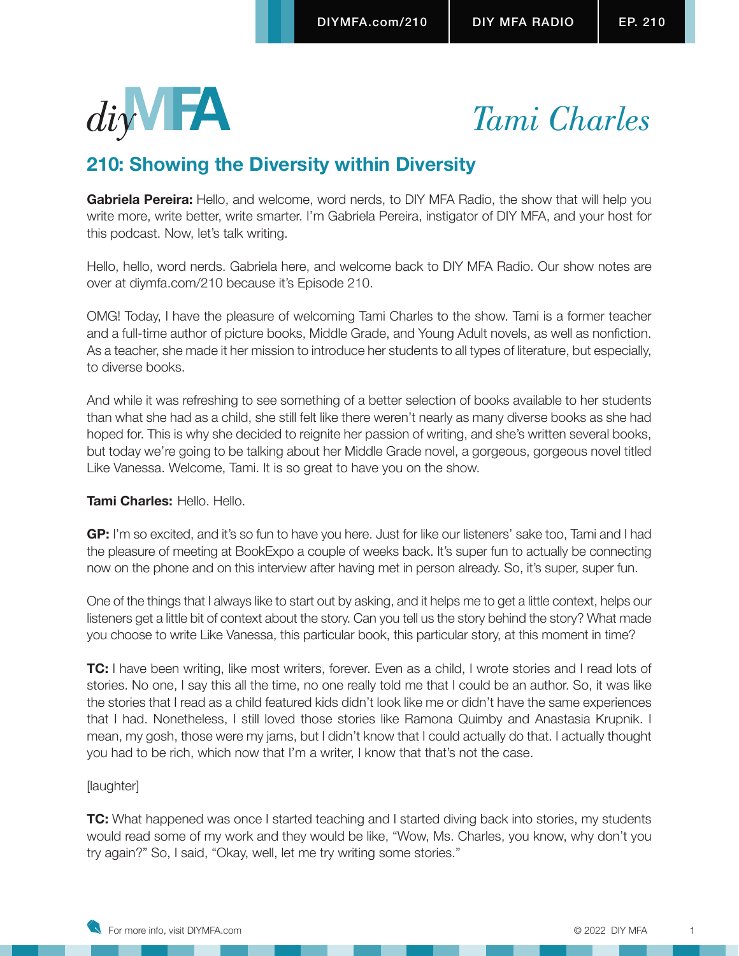



# **210: Showing the Diversity within Diversity**

**Gabriela Pereira:** Hello, and welcome, word nerds, to DIY MFA Radio, the show that will help you write more, write better, write smarter. I'm Gabriela Pereira, instigator of DIY MFA, and your host for this podcast. Now, let's talk writing.

Hello, hello, word nerds. Gabriela here, and welcome back to DIY MFA Radio. Our show notes are over at diymfa.com/210 because it's Episode 210.

OMG! Today, I have the pleasure of welcoming Tami Charles to the show. Tami is a former teacher and a full-time author of picture books, Middle Grade, and Young Adult novels, as well as nonfiction. As a teacher, she made it her mission to introduce her students to all types of literature, but especially, to diverse books.

And while it was refreshing to see something of a better selection of books available to her students than what she had as a child, she still felt like there weren't nearly as many diverse books as she had hoped for. This is why she decided to reignite her passion of writing, and she's written several books, but today we're going to be talking about her Middle Grade novel, a gorgeous, gorgeous novel titled Like Vanessa. Welcome, Tami. It is so great to have you on the show.

# **Tami Charles:** Hello. Hello.

**GP:** I'm so excited, and it's so fun to have you here. Just for like our listeners' sake too, Tami and I had the pleasure of meeting at BookExpo a couple of weeks back. It's super fun to actually be connecting now on the phone and on this interview after having met in person already. So, it's super, super fun.

One of the things that I always like to start out by asking, and it helps me to get a little context, helps our listeners get a little bit of context about the story. Can you tell us the story behind the story? What made you choose to write Like Vanessa, this particular book, this particular story, at this moment in time?

**TC:** I have been writing, like most writers, forever. Even as a child, I wrote stories and I read lots of stories. No one, I say this all the time, no one really told me that I could be an author. So, it was like the stories that I read as a child featured kids didn't look like me or didn't have the same experiences that I had. Nonetheless, I still loved those stories like Ramona Quimby and Anastasia Krupnik. I mean, my gosh, those were my jams, but I didn't know that I could actually do that. I actually thought you had to be rich, which now that I'm a writer, I know that that's not the case.

# [laughter]

**TC:** What happened was once I started teaching and I started diving back into stories, my students would read some of my work and they would be like, "Wow, Ms. Charles, you know, why don't you try again?" So, I said, "Okay, well, let me try writing some stories."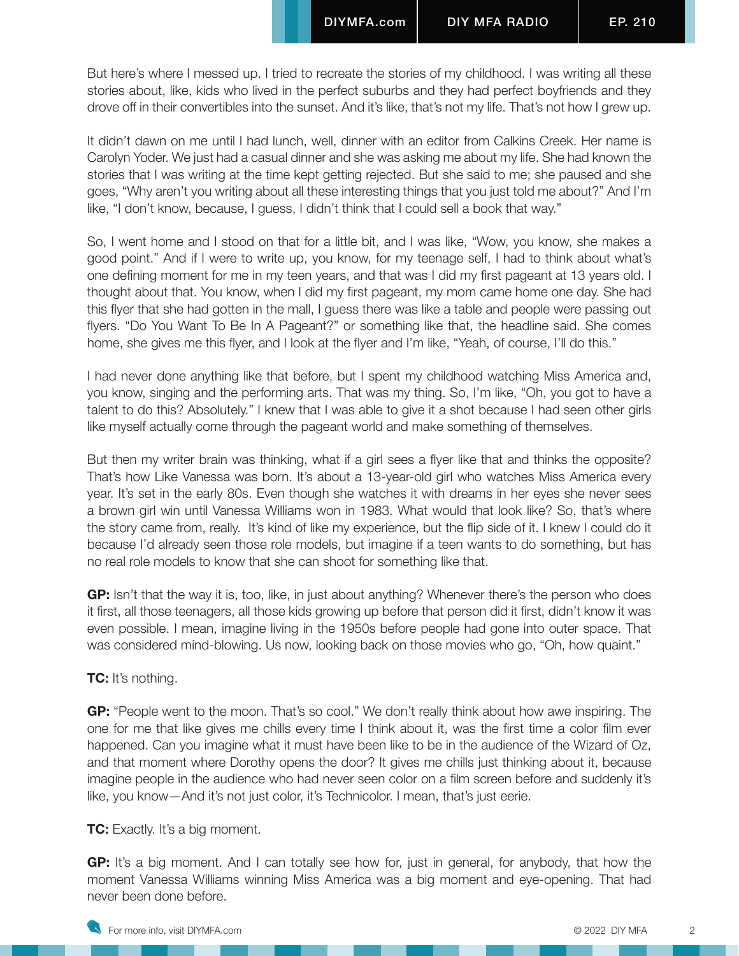But here's where I messed up. I tried to recreate the stories of my childhood. I was writing all these stories about, like, kids who lived in the perfect suburbs and they had perfect boyfriends and they drove off in their convertibles into the sunset. And it's like, that's not my life. That's not how I grew up.

It didn't dawn on me until I had lunch, well, dinner with an editor from Calkins Creek. Her name is Carolyn Yoder. We just had a casual dinner and she was asking me about my life. She had known the stories that I was writing at the time kept getting rejected. But she said to me; she paused and she goes, "Why aren't you writing about all these interesting things that you just told me about?" And I'm like, "I don't know, because, I guess, I didn't think that I could sell a book that way."

So, I went home and I stood on that for a little bit, and I was like, "Wow, you know, she makes a good point." And if I were to write up, you know, for my teenage self, I had to think about what's one defining moment for me in my teen years, and that was I did my first pageant at 13 years old. I thought about that. You know, when I did my first pageant, my mom came home one day. She had this flyer that she had gotten in the mall, I guess there was like a table and people were passing out flyers. "Do You Want To Be In A Pageant?" or something like that, the headline said. She comes home, she gives me this flyer, and I look at the flyer and I'm like, "Yeah, of course, I'll do this."

I had never done anything like that before, but I spent my childhood watching Miss America and, you know, singing and the performing arts. That was my thing. So, I'm like, "Oh, you got to have a talent to do this? Absolutely." I knew that I was able to give it a shot because I had seen other girls like myself actually come through the pageant world and make something of themselves.

But then my writer brain was thinking, what if a girl sees a flyer like that and thinks the opposite? That's how Like Vanessa was born. It's about a 13-year-old girl who watches Miss America every year. It's set in the early 80s. Even though she watches it with dreams in her eyes she never sees a brown girl win until Vanessa Williams won in 1983. What would that look like? So, that's where the story came from, really. It's kind of like my experience, but the flip side of it. I knew I could do it because I'd already seen those role models, but imagine if a teen wants to do something, but has no real role models to know that she can shoot for something like that.

**GP:** Isn't that the way it is, too, like, in just about anything? Whenever there's the person who does it first, all those teenagers, all those kids growing up before that person did it first, didn't know it was even possible. I mean, imagine living in the 1950s before people had gone into outer space. That was considered mind-blowing. Us now, looking back on those movies who go, "Oh, how quaint."

# **TC:** It's nothing.

**GP:** "People went to the moon. That's so cool." We don't really think about how awe inspiring. The one for me that like gives me chills every time I think about it, was the first time a color film ever happened. Can you imagine what it must have been like to be in the audience of the Wizard of Oz, and that moment where Dorothy opens the door? It gives me chills just thinking about it, because imagine people in the audience who had never seen color on a film screen before and suddenly it's like, you know—And it's not just color, it's Technicolor. I mean, that's just eerie.

### **TC:** Exactly. It's a big moment.

**GP:** It's a big moment. And I can totally see how for, just in general, for anybody, that how the moment Vanessa Williams winning Miss America was a big moment and eye-opening. That had never been done before.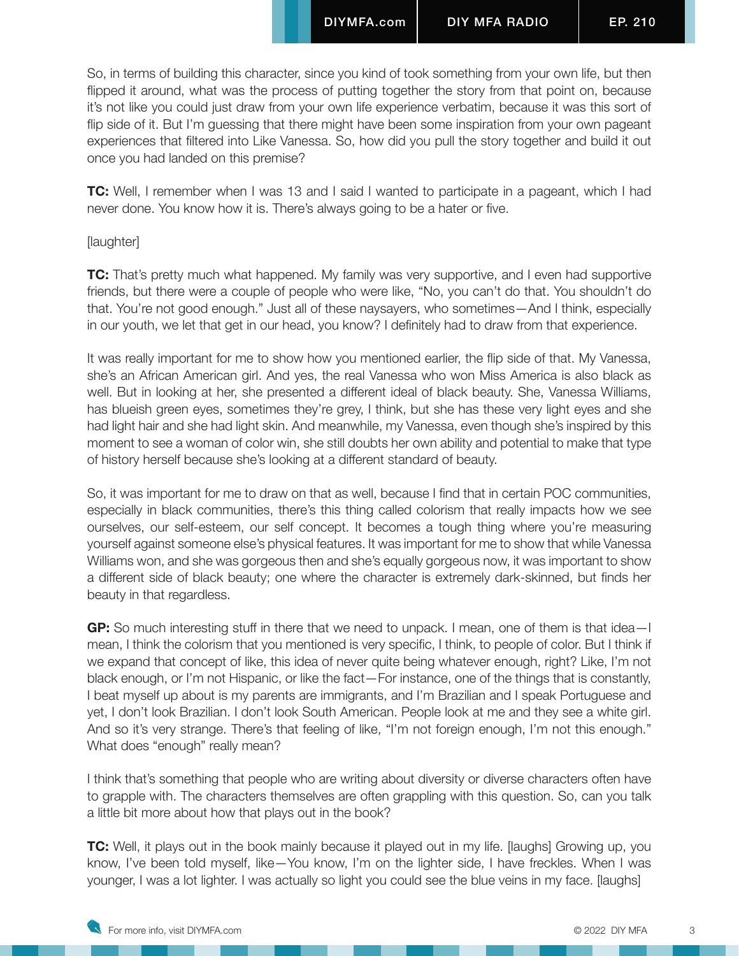So, in terms of building this character, since you kind of took something from your own life, but then flipped it around, what was the process of putting together the story from that point on, because it's not like you could just draw from your own life experience verbatim, because it was this sort of flip side of it. But I'm guessing that there might have been some inspiration from your own pageant experiences that filtered into Like Vanessa. So, how did you pull the story together and build it out once you had landed on this premise?

**TC:** Well, I remember when I was 13 and I said I wanted to participate in a pageant, which I had never done. You know how it is. There's always going to be a hater or five.

#### [laughter]

**TC:** That's pretty much what happened. My family was very supportive, and I even had supportive friends, but there were a couple of people who were like, "No, you can't do that. You shouldn't do that. You're not good enough." Just all of these naysayers, who sometimes—And I think, especially in our youth, we let that get in our head, you know? I definitely had to draw from that experience.

It was really important for me to show how you mentioned earlier, the flip side of that. My Vanessa, she's an African American girl. And yes, the real Vanessa who won Miss America is also black as well. But in looking at her, she presented a different ideal of black beauty. She, Vanessa Williams, has blueish green eyes, sometimes they're grey, I think, but she has these very light eyes and she had light hair and she had light skin. And meanwhile, my Vanessa, even though she's inspired by this moment to see a woman of color win, she still doubts her own ability and potential to make that type of history herself because she's looking at a different standard of beauty.

So, it was important for me to draw on that as well, because I find that in certain POC communities, especially in black communities, there's this thing called colorism that really impacts how we see ourselves, our self-esteem, our self concept. It becomes a tough thing where you're measuring yourself against someone else's physical features. It was important for me to show that while Vanessa Williams won, and she was gorgeous then and she's equally gorgeous now, it was important to show a different side of black beauty; one where the character is extremely dark-skinned, but finds her beauty in that regardless.

**GP:** So much interesting stuff in there that we need to unpack. I mean, one of them is that idea—I mean, I think the colorism that you mentioned is very specific, I think, to people of color. But I think if we expand that concept of like, this idea of never quite being whatever enough, right? Like, I'm not black enough, or I'm not Hispanic, or like the fact—For instance, one of the things that is constantly, I beat myself up about is my parents are immigrants, and I'm Brazilian and I speak Portuguese and yet, I don't look Brazilian. I don't look South American. People look at me and they see a white girl. And so it's very strange. There's that feeling of like, "I'm not foreign enough, I'm not this enough." What does "enough" really mean?

I think that's something that people who are writing about diversity or diverse characters often have to grapple with. The characters themselves are often grappling with this question. So, can you talk a little bit more about how that plays out in the book?

**TC:** Well, it plays out in the book mainly because it played out in my life. [laughs] Growing up, you know, I've been told myself, like—You know, I'm on the lighter side, I have freckles. When I was younger, I was a lot lighter. I was actually so light you could see the blue veins in my face. [laughs]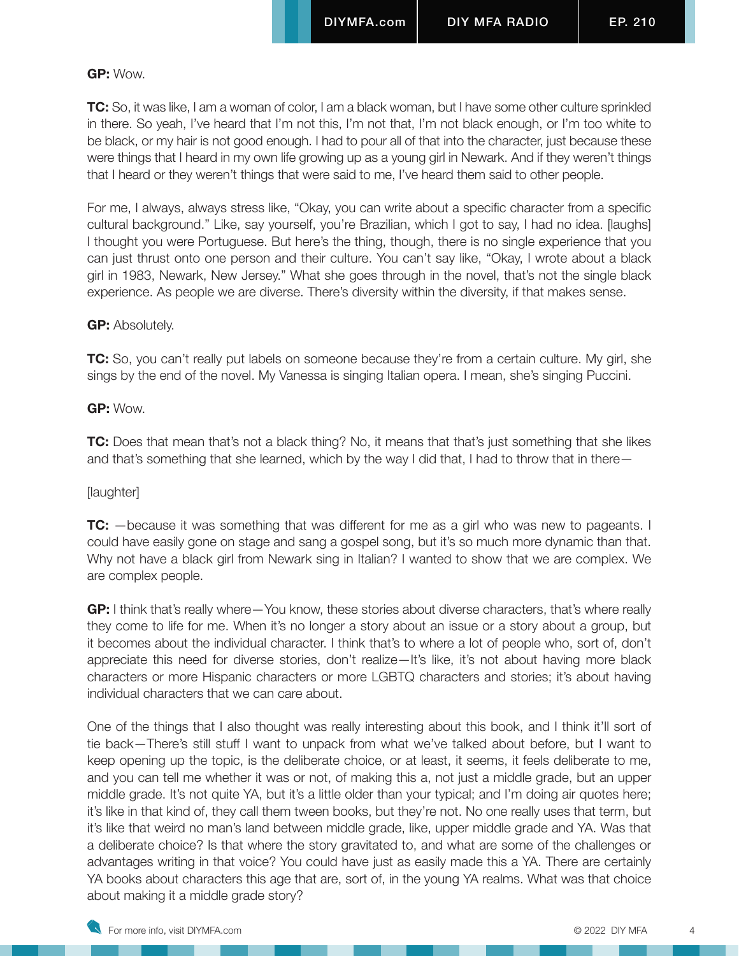## **GP:** Wow.

**TC:** So, it was like, I am a woman of color, I am a black woman, but I have some other culture sprinkled in there. So yeah, I've heard that I'm not this, I'm not that, I'm not black enough, or I'm too white to be black, or my hair is not good enough. I had to pour all of that into the character, just because these were things that I heard in my own life growing up as a young girl in Newark. And if they weren't things that I heard or they weren't things that were said to me, I've heard them said to other people.

For me, I always, always stress like, "Okay, you can write about a specific character from a specific cultural background." Like, say yourself, you're Brazilian, which I got to say, I had no idea. [laughs] I thought you were Portuguese. But here's the thing, though, there is no single experience that you can just thrust onto one person and their culture. You can't say like, "Okay, I wrote about a black girl in 1983, Newark, New Jersey." What she goes through in the novel, that's not the single black experience. As people we are diverse. There's diversity within the diversity, if that makes sense.

## **GP:** Absolutely.

**TC:** So, you can't really put labels on someone because they're from a certain culture. My girl, she sings by the end of the novel. My Vanessa is singing Italian opera. I mean, she's singing Puccini.

## **GP:** Wow.

**TC:** Does that mean that's not a black thing? No, it means that that's just something that she likes and that's something that she learned, which by the way I did that, I had to throw that in there—

# [laughter]

**TC:** —because it was something that was different for me as a girl who was new to pageants. I could have easily gone on stage and sang a gospel song, but it's so much more dynamic than that. Why not have a black girl from Newark sing in Italian? I wanted to show that we are complex. We are complex people.

**GP:** I think that's really where—You know, these stories about diverse characters, that's where really they come to life for me. When it's no longer a story about an issue or a story about a group, but it becomes about the individual character. I think that's to where a lot of people who, sort of, don't appreciate this need for diverse stories, don't realize—It's like, it's not about having more black characters or more Hispanic characters or more LGBTQ characters and stories; it's about having individual characters that we can care about.

One of the things that I also thought was really interesting about this book, and I think it'll sort of tie back—There's still stuff I want to unpack from what we've talked about before, but I want to keep opening up the topic, is the deliberate choice, or at least, it seems, it feels deliberate to me, and you can tell me whether it was or not, of making this a, not just a middle grade, but an upper middle grade. It's not quite YA, but it's a little older than your typical; and I'm doing air quotes here; it's like in that kind of, they call them tween books, but they're not. No one really uses that term, but it's like that weird no man's land between middle grade, like, upper middle grade and YA. Was that a deliberate choice? Is that where the story gravitated to, and what are some of the challenges or advantages writing in that voice? You could have just as easily made this a YA. There are certainly YA books about characters this age that are, sort of, in the young YA realms. What was that choice about making it a middle grade story?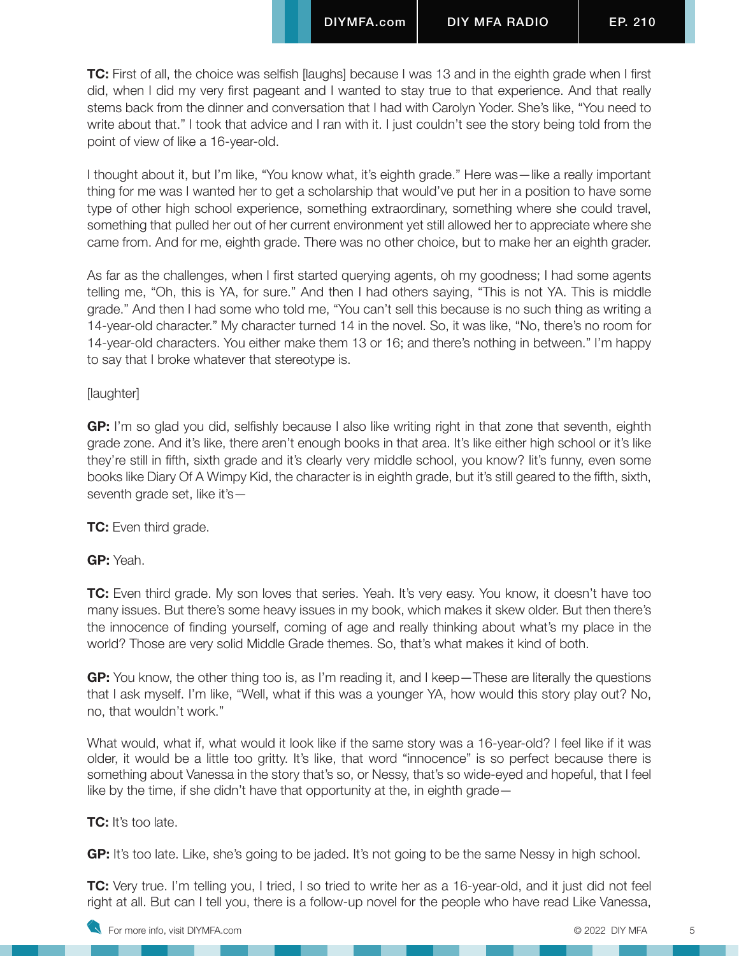**TC:** First of all, the choice was selfish [laughs] because I was 13 and in the eighth grade when I first did, when I did my very first pageant and I wanted to stay true to that experience. And that really stems back from the dinner and conversation that I had with Carolyn Yoder. She's like, "You need to write about that." I took that advice and I ran with it. I just couldn't see the story being told from the point of view of like a 16-year-old.

I thought about it, but I'm like, "You know what, it's eighth grade." Here was—like a really important thing for me was I wanted her to get a scholarship that would've put her in a position to have some type of other high school experience, something extraordinary, something where she could travel, something that pulled her out of her current environment yet still allowed her to appreciate where she came from. And for me, eighth grade. There was no other choice, but to make her an eighth grader.

As far as the challenges, when I first started querying agents, oh my goodness; I had some agents telling me, "Oh, this is YA, for sure." And then I had others saying, "This is not YA. This is middle grade." And then I had some who told me, "You can't sell this because is no such thing as writing a 14-year-old character." My character turned 14 in the novel. So, it was like, "No, there's no room for 14-year-old characters. You either make them 13 or 16; and there's nothing in between." I'm happy to say that I broke whatever that stereotype is.

#### [laughter]

**GP:** I'm so glad you did, selfishly because I also like writing right in that zone that seventh, eighth grade zone. And it's like, there aren't enough books in that area. It's like either high school or it's like they're still in fifth, sixth grade and it's clearly very middle school, you know? Iit's funny, even some books like Diary Of A Wimpy Kid, the character is in eighth grade, but it's still geared to the fifth, sixth, seventh grade set, like it's—

**TC:** Even third grade.

**GP:** Yeah.

**TC:** Even third grade. My son loves that series. Yeah. It's very easy. You know, it doesn't have too many issues. But there's some heavy issues in my book, which makes it skew older. But then there's the innocence of finding yourself, coming of age and really thinking about what's my place in the world? Those are very solid Middle Grade themes. So, that's what makes it kind of both.

**GP:** You know, the other thing too is, as I'm reading it, and I keep—These are literally the questions that I ask myself. I'm like, "Well, what if this was a younger YA, how would this story play out? No, no, that wouldn't work."

What would, what if, what would it look like if the same story was a 16-year-old? I feel like if it was older, it would be a little too gritty. It's like, that word "innocence" is so perfect because there is something about Vanessa in the story that's so, or Nessy, that's so wide-eyed and hopeful, that I feel like by the time, if she didn't have that opportunity at the, in eighth grade—

#### **TC:** It's too late.

**GP:** It's too late. Like, she's going to be jaded. It's not going to be the same Nessy in high school.

**TC:** Very true. I'm telling you, I tried, I so tried to write her as a 16-year-old, and it just did not feel right at all. But can I tell you, there is a follow-up novel for the people who have read Like Vanessa,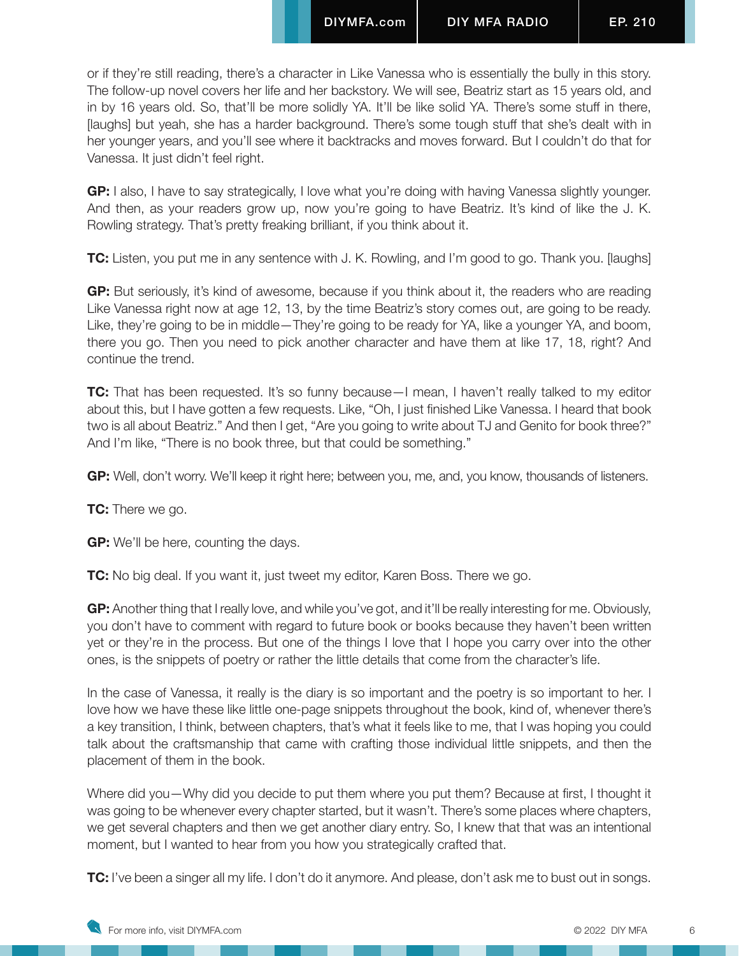or if they're still reading, there's a character in Like Vanessa who is essentially the bully in this story. The follow-up novel covers her life and her backstory. We will see, Beatriz start as 15 years old, and in by 16 years old. So, that'll be more solidly YA. It'll be like solid YA. There's some stuff in there, [laughs] but yeah, she has a harder background. There's some tough stuff that she's dealt with in her younger years, and you'll see where it backtracks and moves forward. But I couldn't do that for Vanessa. It just didn't feel right.

**GP:** I also, I have to say strategically, I love what you're doing with having Vanessa slightly younger. And then, as your readers grow up, now you're going to have Beatriz. It's kind of like the J. K. Rowling strategy. That's pretty freaking brilliant, if you think about it.

**TC:** Listen, you put me in any sentence with J. K. Rowling, and I'm good to go. Thank you. [laughs]

**GP:** But seriously, it's kind of awesome, because if you think about it, the readers who are reading Like Vanessa right now at age 12, 13, by the time Beatriz's story comes out, are going to be ready. Like, they're going to be in middle—They're going to be ready for YA, like a younger YA, and boom, there you go. Then you need to pick another character and have them at like 17, 18, right? And continue the trend.

**TC:** That has been requested. It's so funny because—I mean, I haven't really talked to my editor about this, but I have gotten a few requests. Like, "Oh, I just finished Like Vanessa. I heard that book two is all about Beatriz." And then I get, "Are you going to write about TJ and Genito for book three?" And I'm like, "There is no book three, but that could be something."

**GP:** Well, don't worry. We'll keep it right here; between you, me, and, you know, thousands of listeners.

**TC:** There we go.

**GP:** We'll be here, counting the days.

**TC:** No big deal. If you want it, just tweet my editor, Karen Boss. There we go.

**GP:** Another thing that I really love, and while you've got, and it'll be really interesting for me. Obviously, you don't have to comment with regard to future book or books because they haven't been written yet or they're in the process. But one of the things I love that I hope you carry over into the other ones, is the snippets of poetry or rather the little details that come from the character's life.

In the case of Vanessa, it really is the diary is so important and the poetry is so important to her. I love how we have these like little one-page snippets throughout the book, kind of, whenever there's a key transition, I think, between chapters, that's what it feels like to me, that I was hoping you could talk about the craftsmanship that came with crafting those individual little snippets, and then the placement of them in the book.

Where did you—Why did you decide to put them where you put them? Because at first, I thought it was going to be whenever every chapter started, but it wasn't. There's some places where chapters, we get several chapters and then we get another diary entry. So, I knew that that was an intentional moment, but I wanted to hear from you how you strategically crafted that.

**TC:** I've been a singer all my life. I don't do it anymore. And please, don't ask me to bust out in songs.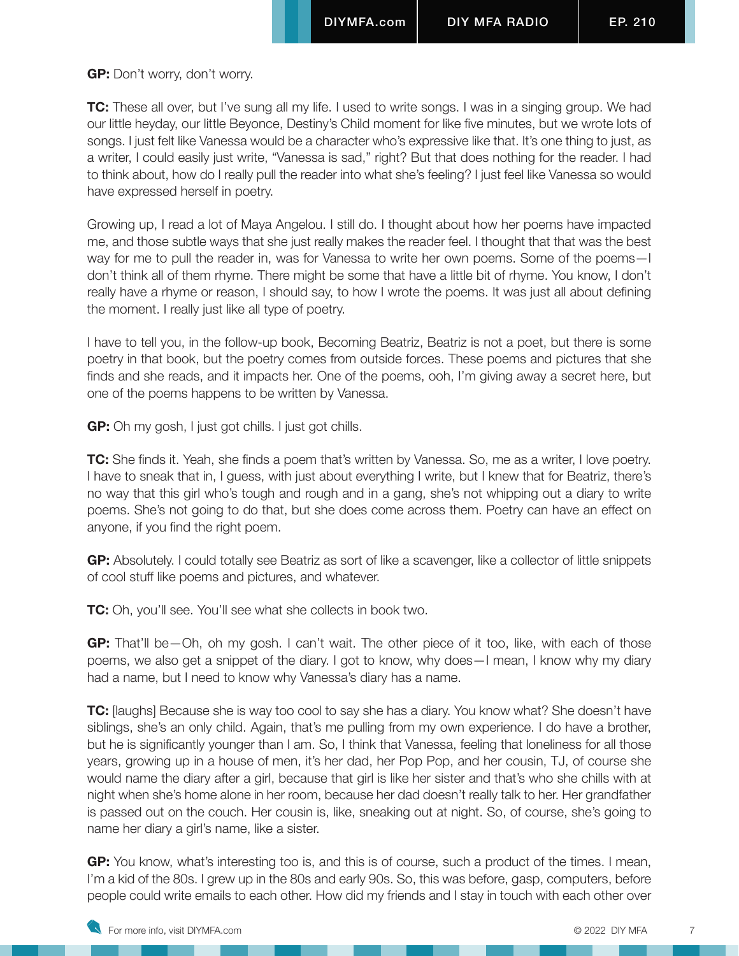**GP:** Don't worry, don't worry.

**TC:** These all over, but I've sung all my life. I used to write songs. I was in a singing group. We had our little heyday, our little Beyonce, Destiny's Child moment for like five minutes, but we wrote lots of songs. I just felt like Vanessa would be a character who's expressive like that. It's one thing to just, as a writer, I could easily just write, "Vanessa is sad," right? But that does nothing for the reader. I had to think about, how do I really pull the reader into what she's feeling? I just feel like Vanessa so would have expressed herself in poetry.

Growing up, I read a lot of Maya Angelou. I still do. I thought about how her poems have impacted me, and those subtle ways that she just really makes the reader feel. I thought that that was the best way for me to pull the reader in, was for Vanessa to write her own poems. Some of the poems—I don't think all of them rhyme. There might be some that have a little bit of rhyme. You know, I don't really have a rhyme or reason, I should say, to how I wrote the poems. It was just all about defining the moment. I really just like all type of poetry.

I have to tell you, in the follow-up book, Becoming Beatriz, Beatriz is not a poet, but there is some poetry in that book, but the poetry comes from outside forces. These poems and pictures that she finds and she reads, and it impacts her. One of the poems, ooh, I'm giving away a secret here, but one of the poems happens to be written by Vanessa.

**GP:** Oh my gosh, I just got chills. I just got chills.

**TC:** She finds it. Yeah, she finds a poem that's written by Vanessa. So, me as a writer, I love poetry. I have to sneak that in, I guess, with just about everything I write, but I knew that for Beatriz, there's no way that this girl who's tough and rough and in a gang, she's not whipping out a diary to write poems. She's not going to do that, but she does come across them. Poetry can have an effect on anyone, if you find the right poem.

**GP:** Absolutely. I could totally see Beatriz as sort of like a scavenger, like a collector of little snippets of cool stuff like poems and pictures, and whatever.

**TC:** Oh, you'll see. You'll see what she collects in book two.

**GP:** That'll be—Oh, oh my gosh. I can't wait. The other piece of it too, like, with each of those poems, we also get a snippet of the diary. I got to know, why does—I mean, I know why my diary had a name, but I need to know why Vanessa's diary has a name.

**TC:** [laughs] Because she is way too cool to say she has a diary. You know what? She doesn't have siblings, she's an only child. Again, that's me pulling from my own experience. I do have a brother, but he is significantly younger than I am. So, I think that Vanessa, feeling that loneliness for all those years, growing up in a house of men, it's her dad, her Pop Pop, and her cousin, TJ, of course she would name the diary after a girl, because that girl is like her sister and that's who she chills with at night when she's home alone in her room, because her dad doesn't really talk to her. Her grandfather is passed out on the couch. Her cousin is, like, sneaking out at night. So, of course, she's going to name her diary a girl's name, like a sister.

**GP:** You know, what's interesting too is, and this is of course, such a product of the times. I mean, I'm a kid of the 80s. I grew up in the 80s and early 90s. So, this was before, gasp, computers, before people could write emails to each other. How did my friends and I stay in touch with each other over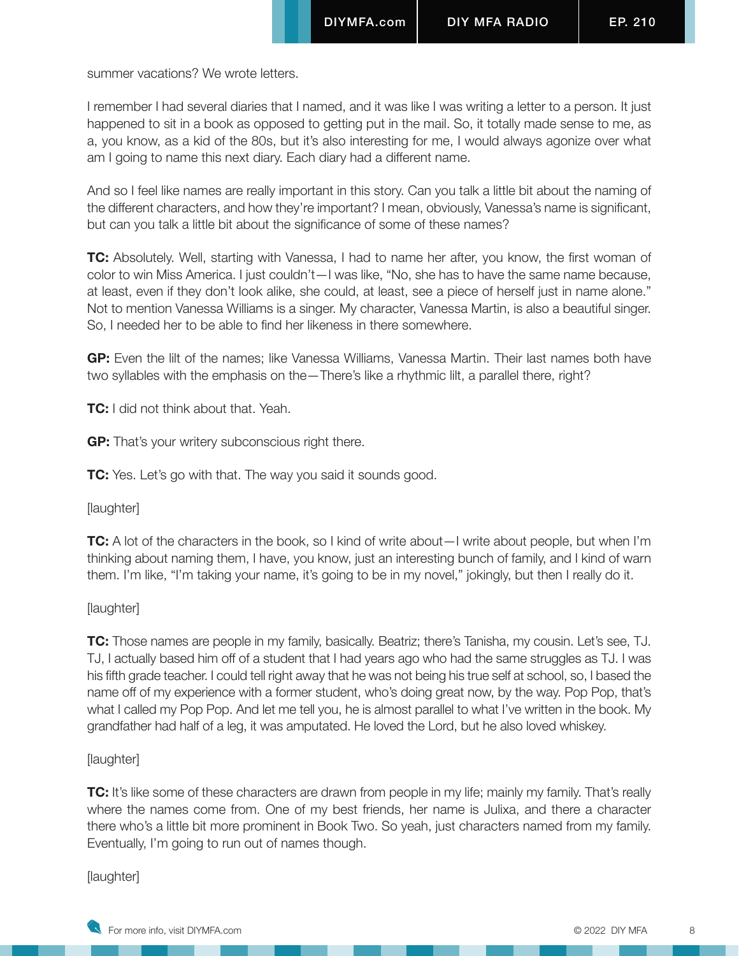summer vacations? We wrote letters.

I remember I had several diaries that I named, and it was like I was writing a letter to a person. It just happened to sit in a book as opposed to getting put in the mail. So, it totally made sense to me, as a, you know, as a kid of the 80s, but it's also interesting for me, I would always agonize over what am I going to name this next diary. Each diary had a different name.

And so I feel like names are really important in this story. Can you talk a little bit about the naming of the different characters, and how they're important? I mean, obviously, Vanessa's name is significant, but can you talk a little bit about the significance of some of these names?

**TC:** Absolutely. Well, starting with Vanessa, I had to name her after, you know, the first woman of color to win Miss America. I just couldn't—I was like, "No, she has to have the same name because, at least, even if they don't look alike, she could, at least, see a piece of herself just in name alone." Not to mention Vanessa Williams is a singer. My character, Vanessa Martin, is also a beautiful singer. So, I needed her to be able to find her likeness in there somewhere.

**GP:** Even the lilt of the names; like Vanessa Williams, Vanessa Martin. Their last names both have two syllables with the emphasis on the—There's like a rhythmic lilt, a parallel there, right?

**TC:** I did not think about that. Yeah.

**GP:** That's your writery subconscious right there.

**TC:** Yes. Let's go with that. The way you said it sounds good.

[laughter]

**TC:** A lot of the characters in the book, so I kind of write about —I write about people, but when I'm thinking about naming them, I have, you know, just an interesting bunch of family, and I kind of warn them. I'm like, "I'm taking your name, it's going to be in my novel," jokingly, but then I really do it.

[laughter]

**TC:** Those names are people in my family, basically. Beatriz; there's Tanisha, my cousin. Let's see, TJ. TJ, I actually based him off of a student that I had years ago who had the same struggles as TJ. I was his fifth grade teacher. I could tell right away that he was not being his true self at school, so, I based the name off of my experience with a former student, who's doing great now, by the way. Pop Pop, that's what I called my Pop Pop. And let me tell you, he is almost parallel to what I've written in the book. My grandfather had half of a leg, it was amputated. He loved the Lord, but he also loved whiskey.

[laughter]

**TC:** It's like some of these characters are drawn from people in my life; mainly my family. That's really where the names come from. One of my best friends, her name is Julixa, and there a character there who's a little bit more prominent in Book Two. So yeah, just characters named from my family. Eventually, I'm going to run out of names though.

[laughter]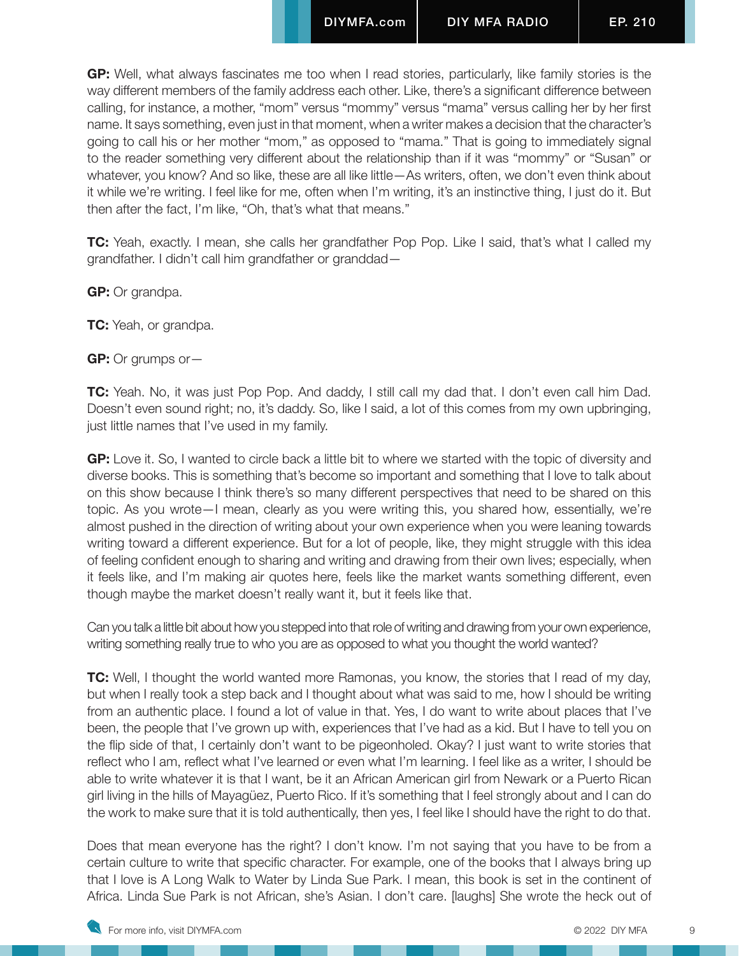**GP:** Well, what always fascinates me too when I read stories, particularly, like family stories is the way different members of the family address each other. Like, there's a significant difference between calling, for instance, a mother, "mom" versus "mommy" versus "mama" versus calling her by her first name. It says something, even just in that moment, when a writer makes a decision that the character's going to call his or her mother "mom," as opposed to "mama." That is going to immediately signal to the reader something very different about the relationship than if it was "mommy" or "Susan" or whatever, you know? And so like, these are all like little—As writers, often, we don't even think about it while we're writing. I feel like for me, often when I'm writing, it's an instinctive thing, I just do it. But then after the fact, I'm like, "Oh, that's what that means."

**TC:** Yeah, exactly. I mean, she calls her grandfather Pop Pop. Like I said, that's what I called my grandfather. I didn't call him grandfather or granddad—

**GP:** Or grandpa.

**TC:** Yeah, or grandpa.

**GP:** Or grumps or—

**TC:** Yeah. No, it was just Pop Pop. And daddy, I still call my dad that. I don't even call him Dad. Doesn't even sound right; no, it's daddy. So, like I said, a lot of this comes from my own upbringing, just little names that I've used in my family.

**GP:** Love it. So, I wanted to circle back a little bit to where we started with the topic of diversity and diverse books. This is something that's become so important and something that I love to talk about on this show because I think there's so many different perspectives that need to be shared on this topic. As you wrote—I mean, clearly as you were writing this, you shared how, essentially, we're almost pushed in the direction of writing about your own experience when you were leaning towards writing toward a different experience. But for a lot of people, like, they might struggle with this idea of feeling confident enough to sharing and writing and drawing from their own lives; especially, when it feels like, and I'm making air quotes here, feels like the market wants something different, even though maybe the market doesn't really want it, but it feels like that.

Can you talk a little bit about how you stepped into that role of writing and drawing from your own experience, writing something really true to who you are as opposed to what you thought the world wanted?

**TC:** Well, I thought the world wanted more Ramonas, you know, the stories that I read of my day, but when I really took a step back and I thought about what was said to me, how I should be writing from an authentic place. I found a lot of value in that. Yes, I do want to write about places that I've been, the people that I've grown up with, experiences that I've had as a kid. But I have to tell you on the flip side of that, I certainly don't want to be pigeonholed. Okay? I just want to write stories that reflect who I am, reflect what I've learned or even what I'm learning. I feel like as a writer, I should be able to write whatever it is that I want, be it an African American girl from Newark or a Puerto Rican girl living in the hills of Mayagüez, Puerto Rico. If it's something that I feel strongly about and I can do the work to make sure that it is told authentically, then yes, I feel like I should have the right to do that.

Does that mean everyone has the right? I don't know. I'm not saying that you have to be from a certain culture to write that specific character. For example, one of the books that I always bring up that I love is A Long Walk to Water by Linda Sue Park. I mean, this book is set in the continent of Africa. Linda Sue Park is not African, she's Asian. I don't care. [laughs] She wrote the heck out of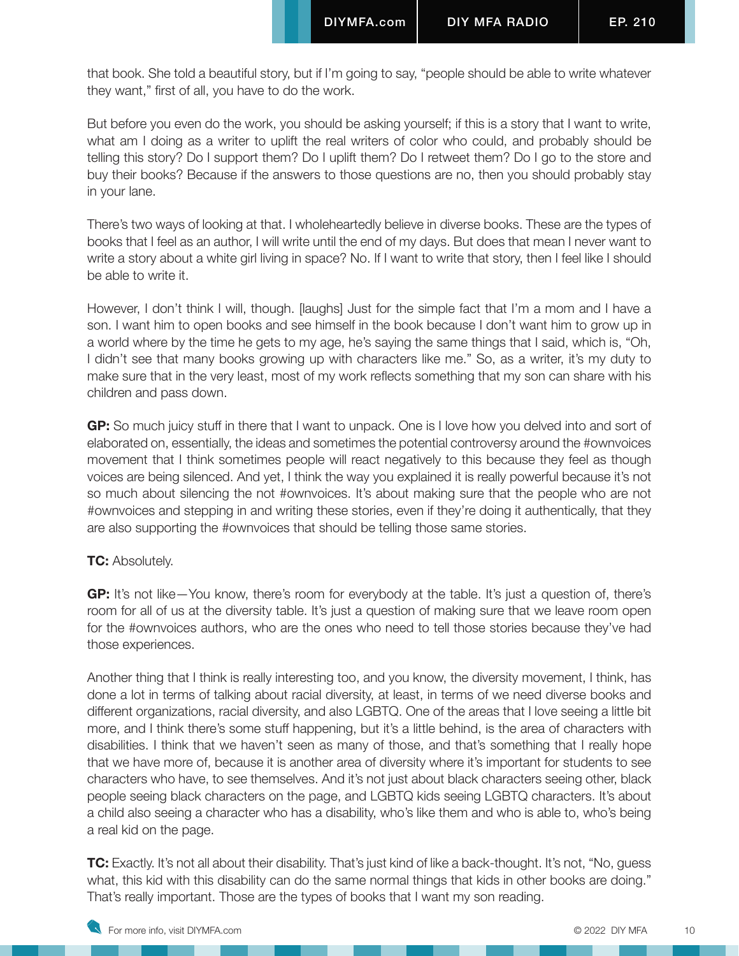that book. She told a beautiful story, but if I'm going to say, "people should be able to write whatever they want," first of all, you have to do the work.

But before you even do the work, you should be asking yourself; if this is a story that I want to write, what am I doing as a writer to uplift the real writers of color who could, and probably should be telling this story? Do I support them? Do I uplift them? Do I retweet them? Do I go to the store and buy their books? Because if the answers to those questions are no, then you should probably stay in your lane.

There's two ways of looking at that. I wholeheartedly believe in diverse books. These are the types of books that I feel as an author, I will write until the end of my days. But does that mean I never want to write a story about a white girl living in space? No. If I want to write that story, then I feel like I should be able to write it.

However, I don't think I will, though. [laughs] Just for the simple fact that I'm a mom and I have a son. I want him to open books and see himself in the book because I don't want him to grow up in a world where by the time he gets to my age, he's saying the same things that I said, which is, "Oh, I didn't see that many books growing up with characters like me." So, as a writer, it's my duty to make sure that in the very least, most of my work reflects something that my son can share with his children and pass down.

**GP:** So much juicy stuff in there that I want to unpack. One is I love how you delved into and sort of elaborated on, essentially, the ideas and sometimes the potential controversy around the #ownvoices movement that I think sometimes people will react negatively to this because they feel as though voices are being silenced. And yet, I think the way you explained it is really powerful because it's not so much about silencing the not #ownvoices. It's about making sure that the people who are not #ownvoices and stepping in and writing these stories, even if they're doing it authentically, that they are also supporting the #ownvoices that should be telling those same stories.

# **TC:** Absolutely.

**GP:** It's not like—You know, there's room for everybody at the table. It's just a question of, there's room for all of us at the diversity table. It's just a question of making sure that we leave room open for the #ownvoices authors, who are the ones who need to tell those stories because they've had those experiences.

Another thing that I think is really interesting too, and you know, the diversity movement, I think, has done a lot in terms of talking about racial diversity, at least, in terms of we need diverse books and different organizations, racial diversity, and also LGBTQ. One of the areas that I love seeing a little bit more, and I think there's some stuff happening, but it's a little behind, is the area of characters with disabilities. I think that we haven't seen as many of those, and that's something that I really hope that we have more of, because it is another area of diversity where it's important for students to see characters who have, to see themselves. And it's not just about black characters seeing other, black people seeing black characters on the page, and LGBTQ kids seeing LGBTQ characters. It's about a child also seeing a character who has a disability, who's like them and who is able to, who's being a real kid on the page.

**TC:** Exactly. It's not all about their disability. That's just kind of like a back-thought. It's not, "No, guess what, this kid with this disability can do the same normal things that kids in other books are doing." That's really important. Those are the types of books that I want my son reading.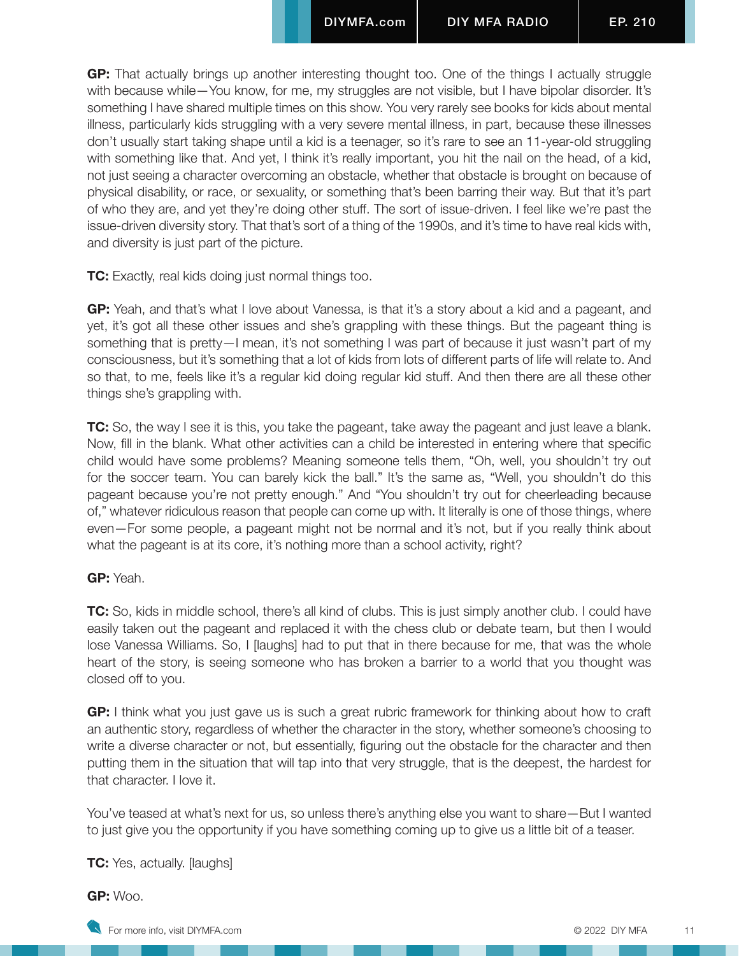**GP:** That actually brings up another interesting thought too. One of the things I actually struggle with because while—You know, for me, my struggles are not visible, but I have bipolar disorder. It's something I have shared multiple times on this show. You very rarely see books for kids about mental illness, particularly kids struggling with a very severe mental illness, in part, because these illnesses don't usually start taking shape until a kid is a teenager, so it's rare to see an 11-year-old struggling with something like that. And yet, I think it's really important, you hit the nail on the head, of a kid, not just seeing a character overcoming an obstacle, whether that obstacle is brought on because of physical disability, or race, or sexuality, or something that's been barring their way. But that it's part of who they are, and yet they're doing other stuff. The sort of issue-driven. I feel like we're past the issue-driven diversity story. That that's sort of a thing of the 1990s, and it's time to have real kids with, and diversity is just part of the picture.

**TC:** Exactly, real kids doing just normal things too.

**GP:** Yeah, and that's what I love about Vanessa, is that it's a story about a kid and a pageant, and yet, it's got all these other issues and she's grappling with these things. But the pageant thing is something that is pretty—I mean, it's not something I was part of because it just wasn't part of my consciousness, but it's something that a lot of kids from lots of different parts of life will relate to. And so that, to me, feels like it's a regular kid doing regular kid stuff. And then there are all these other things she's grappling with.

**TC:** So, the way I see it is this, you take the pageant, take away the pageant and just leave a blank. Now, fill in the blank. What other activities can a child be interested in entering where that specific child would have some problems? Meaning someone tells them, "Oh, well, you shouldn't try out for the soccer team. You can barely kick the ball." It's the same as, "Well, you shouldn't do this pageant because you're not pretty enough." And "You shouldn't try out for cheerleading because of," whatever ridiculous reason that people can come up with. It literally is one of those things, where even—For some people, a pageant might not be normal and it's not, but if you really think about what the pageant is at its core, it's nothing more than a school activity, right?

# **GP:** Yeah.

**TC:** So, kids in middle school, there's all kind of clubs. This is just simply another club. I could have easily taken out the pageant and replaced it with the chess club or debate team, but then I would lose Vanessa Williams. So, I [laughs] had to put that in there because for me, that was the whole heart of the story, is seeing someone who has broken a barrier to a world that you thought was closed off to you.

**GP:** I think what you just gave us is such a great rubric framework for thinking about how to craft an authentic story, regardless of whether the character in the story, whether someone's choosing to write a diverse character or not, but essentially, figuring out the obstacle for the character and then putting them in the situation that will tap into that very struggle, that is the deepest, the hardest for that character. I love it.

You've teased at what's next for us, so unless there's anything else you want to share—But I wanted to just give you the opportunity if you have something coming up to give us a little bit of a teaser.

**TC:** Yes, actually. [laughs]

**GP:** Woo.

For more info, visit DIYMFA.com **Example 2022** DIYMFA 11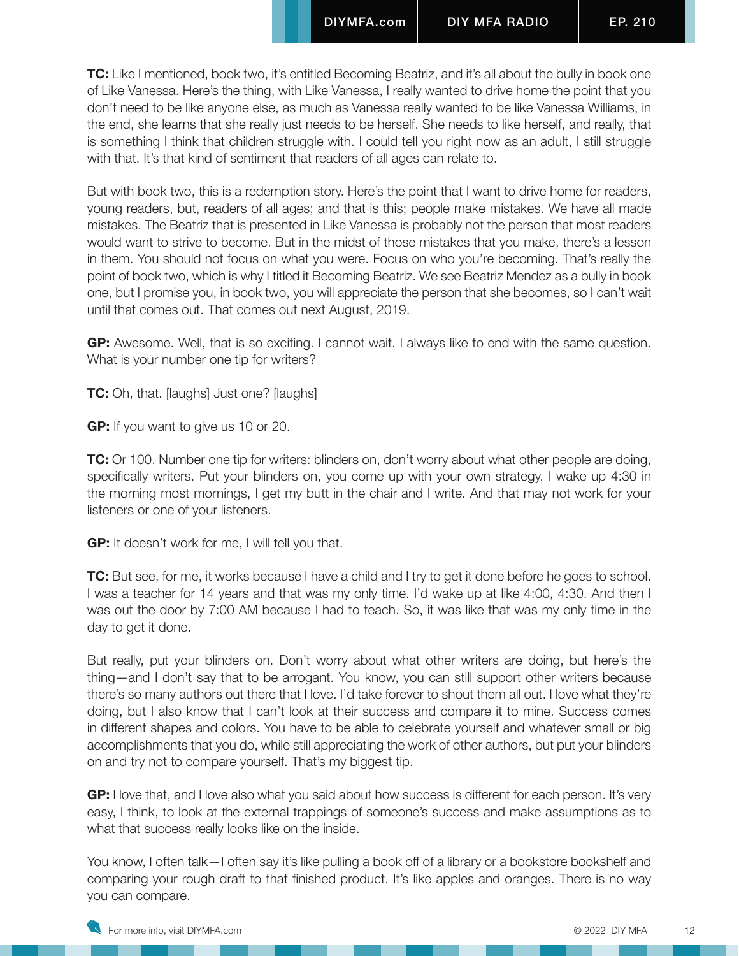**TC:** Like I mentioned, book two, it's entitled Becoming Beatriz, and it's all about the bully in book one of Like Vanessa. Here's the thing, with Like Vanessa, I really wanted to drive home the point that you don't need to be like anyone else, as much as Vanessa really wanted to be like Vanessa Williams, in the end, she learns that she really just needs to be herself. She needs to like herself, and really, that is something I think that children struggle with. I could tell you right now as an adult, I still struggle with that. It's that kind of sentiment that readers of all ages can relate to.

But with book two, this is a redemption story. Here's the point that I want to drive home for readers, young readers, but, readers of all ages; and that is this; people make mistakes. We have all made mistakes. The Beatriz that is presented in Like Vanessa is probably not the person that most readers would want to strive to become. But in the midst of those mistakes that you make, there's a lesson in them. You should not focus on what you were. Focus on who you're becoming. That's really the point of book two, which is why I titled it Becoming Beatriz. We see Beatriz Mendez as a bully in book one, but I promise you, in book two, you will appreciate the person that she becomes, so I can't wait until that comes out. That comes out next August, 2019.

**GP:** Awesome. Well, that is so exciting. I cannot wait. I always like to end with the same question. What is your number one tip for writers?

**TC:** Oh, that. [laughs] Just one? [laughs]

**GP:** If you want to give us 10 or 20.

**TC:** Or 100. Number one tip for writers: blinders on, don't worry about what other people are doing, specifically writers. Put your blinders on, you come up with your own strategy. I wake up 4:30 in the morning most mornings, I get my butt in the chair and I write. And that may not work for your listeners or one of your listeners.

**GP:** It doesn't work for me, I will tell you that.

**TC:** But see, for me, it works because I have a child and I try to get it done before he goes to school. I was a teacher for 14 years and that was my only time. I'd wake up at like 4:00, 4:30. And then I was out the door by 7:00 AM because I had to teach. So, it was like that was my only time in the day to get it done.

But really, put your blinders on. Don't worry about what other writers are doing, but here's the thing—and I don't say that to be arrogant. You know, you can still support other writers because there's so many authors out there that I love. I'd take forever to shout them all out. I love what they're doing, but I also know that I can't look at their success and compare it to mine. Success comes in different shapes and colors. You have to be able to celebrate yourself and whatever small or big accomplishments that you do, while still appreciating the work of other authors, but put your blinders on and try not to compare yourself. That's my biggest tip.

GP: I love that, and I love also what you said about how success is different for each person. It's very easy, I think, to look at the external trappings of someone's success and make assumptions as to what that success really looks like on the inside.

You know, I often talk—I often say it's like pulling a book off of a library or a bookstore bookshelf and comparing your rough draft to that finished product. It's like apples and oranges. There is no way you can compare.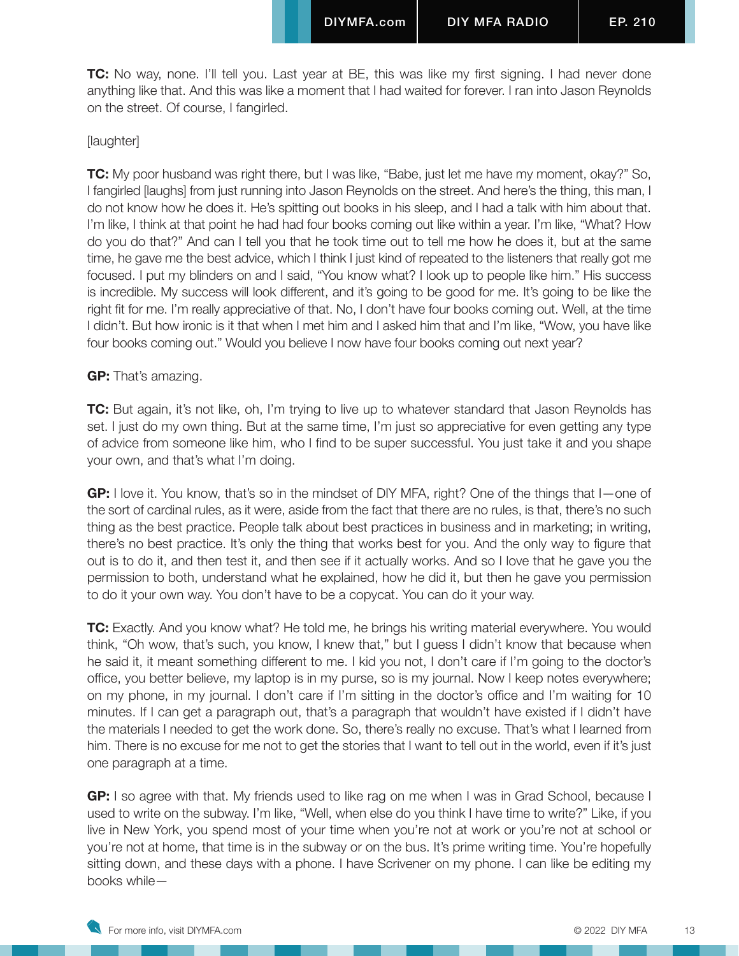**TC:** No way, none. I'll tell you. Last year at BE, this was like my first signing. I had never done anything like that. And this was like a moment that I had waited for forever. I ran into Jason Reynolds on the street. Of course, I fangirled.

## [laughter]

**TC:** My poor husband was right there, but I was like, "Babe, just let me have my moment, okay?" So, I fangirled [laughs] from just running into Jason Reynolds on the street. And here's the thing, this man, I do not know how he does it. He's spitting out books in his sleep, and I had a talk with him about that. I'm like, I think at that point he had had four books coming out like within a year. I'm like, "What? How do you do that?" And can I tell you that he took time out to tell me how he does it, but at the same time, he gave me the best advice, which I think I just kind of repeated to the listeners that really got me focused. I put my blinders on and I said, "You know what? I look up to people like him." His success is incredible. My success will look different, and it's going to be good for me. It's going to be like the right fit for me. I'm really appreciative of that. No, I don't have four books coming out. Well, at the time I didn't. But how ironic is it that when I met him and I asked him that and I'm like, "Wow, you have like four books coming out." Would you believe I now have four books coming out next year?

#### **GP:** That's amazing.

**TC:** But again, it's not like, oh, I'm trying to live up to whatever standard that Jason Reynolds has set. I just do my own thing. But at the same time, I'm just so appreciative for even getting any type of advice from someone like him, who I find to be super successful. You just take it and you shape your own, and that's what I'm doing.

**GP:** I love it. You know, that's so in the mindset of DIY MFA, right? One of the things that I—one of the sort of cardinal rules, as it were, aside from the fact that there are no rules, is that, there's no such thing as the best practice. People talk about best practices in business and in marketing; in writing, there's no best practice. It's only the thing that works best for you. And the only way to figure that out is to do it, and then test it, and then see if it actually works. And so I love that he gave you the permission to both, understand what he explained, how he did it, but then he gave you permission to do it your own way. You don't have to be a copycat. You can do it your way.

**TC:** Exactly. And you know what? He told me, he brings his writing material everywhere. You would think, "Oh wow, that's such, you know, I knew that," but I guess I didn't know that because when he said it, it meant something different to me. I kid you not, I don't care if I'm going to the doctor's office, you better believe, my laptop is in my purse, so is my journal. Now I keep notes everywhere; on my phone, in my journal. I don't care if I'm sitting in the doctor's office and I'm waiting for 10 minutes. If I can get a paragraph out, that's a paragraph that wouldn't have existed if I didn't have the materials I needed to get the work done. So, there's really no excuse. That's what I learned from him. There is no excuse for me not to get the stories that I want to tell out in the world, even if it's just one paragraph at a time.

**GP:** I so agree with that. My friends used to like rag on me when I was in Grad School, because I used to write on the subway. I'm like, "Well, when else do you think I have time to write?" Like, if you live in New York, you spend most of your time when you're not at work or you're not at school or you're not at home, that time is in the subway or on the bus. It's prime writing time. You're hopefully sitting down, and these days with a phone. I have Scrivener on my phone. I can like be editing my books while